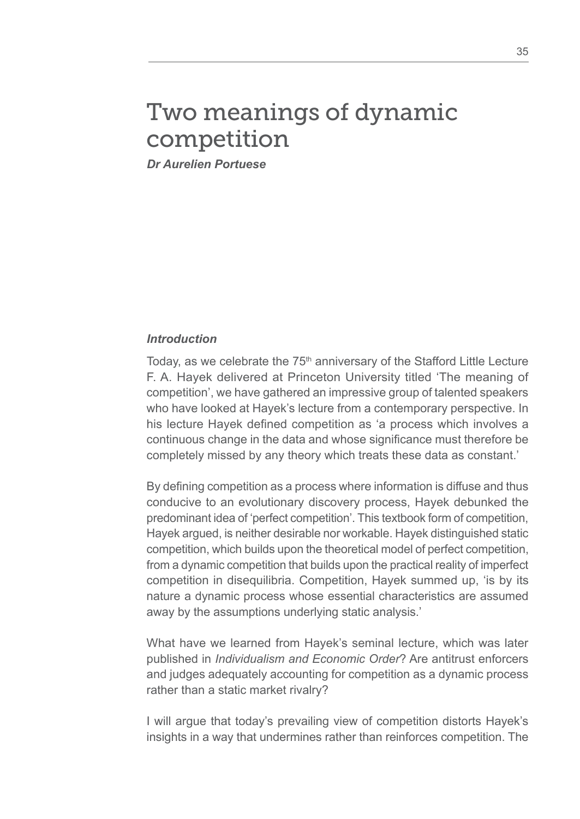# Two meanings of dynamic competition

*Dr Aurelien Portuese*

#### *Introduction*

Today, as we celebrate the 75<sup>th</sup> anniversary of the Stafford Little Lecture F. A. Hayek delivered at Princeton University titled 'The meaning of competition', we have gathered an impressive group of talented speakers who have looked at Hayek's lecture from a contemporary perspective. In his lecture Hayek defined competition as 'a process which involves a continuous change in the data and whose significance must therefore be completely missed by any theory which treats these data as constant.'

By defining competition as a process where information is diffuse and thus conducive to an evolutionary discovery process, Hayek debunked the predominant idea of 'perfect competition'. This textbook form of competition, Hayek argued, is neither desirable nor workable. Hayek distinguished static competition, which builds upon the theoretical model of perfect competition, from a dynamic competition that builds upon the practical reality of imperfect competition in disequilibria. Competition, Hayek summed up, 'is by its nature a dynamic process whose essential characteristics are assumed away by the assumptions underlying static analysis.'

What have we learned from Hayek's seminal lecture, which was later published in *Individualism and Economic Order*? Are antitrust enforcers and judges adequately accounting for competition as a dynamic process rather than a static market rivalry?

I will argue that today's prevailing view of competition distorts Hayek's insights in a way that undermines rather than reinforces competition. The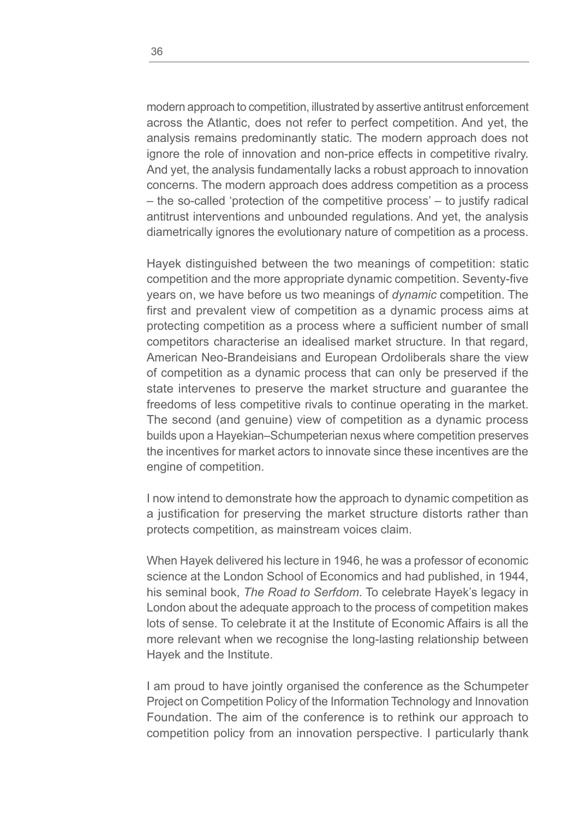modern approach to competition, illustrated by assertive antitrust enforcement across the Atlantic, does not refer to perfect competition. And yet, the analysis remains predominantly static. The modern approach does not ignore the role of innovation and non-price effects in competitive rivalry. And yet, the analysis fundamentally lacks a robust approach to innovation concerns. The modern approach does address competition as a process – the so-called 'protection of the competitive process' – to justify radical antitrust interventions and unbounded regulations. And yet, the analysis diametrically ignores the evolutionary nature of competition as a process.

Hayek distinguished between the two meanings of competition: static competition and the more appropriate dynamic competition. Seventy-five years on, we have before us two meanings of *dynamic* competition. The first and prevalent view of competition as a dynamic process aims at protecting competition as a process where a sufficient number of small competitors characterise an idealised market structure. In that regard, American Neo-Brandeisians and European Ordoliberals share the view of competition as a dynamic process that can only be preserved if the state intervenes to preserve the market structure and guarantee the freedoms of less competitive rivals to continue operating in the market. The second (and genuine) view of competition as a dynamic process builds upon a Hayekian–Schumpeterian nexus where competition preserves the incentives for market actors to innovate since these incentives are the engine of competition.

I now intend to demonstrate how the approach to dynamic competition as a justification for preserving the market structure distorts rather than protects competition, as mainstream voices claim.

When Hayek delivered his lecture in 1946, he was a professor of economic science at the London School of Economics and had published, in 1944, his seminal book, *The Road to Serfdom*. To celebrate Hayek's legacy in London about the adequate approach to the process of competition makes lots of sense. To celebrate it at the Institute of Economic Affairs is all the more relevant when we recognise the long-lasting relationship between Hayek and the Institute.

I am proud to have jointly organised the conference as the Schumpeter Project on Competition Policy of the Information Technology and Innovation Foundation. The aim of the conference is to rethink our approach to competition policy from an innovation perspective. I particularly thank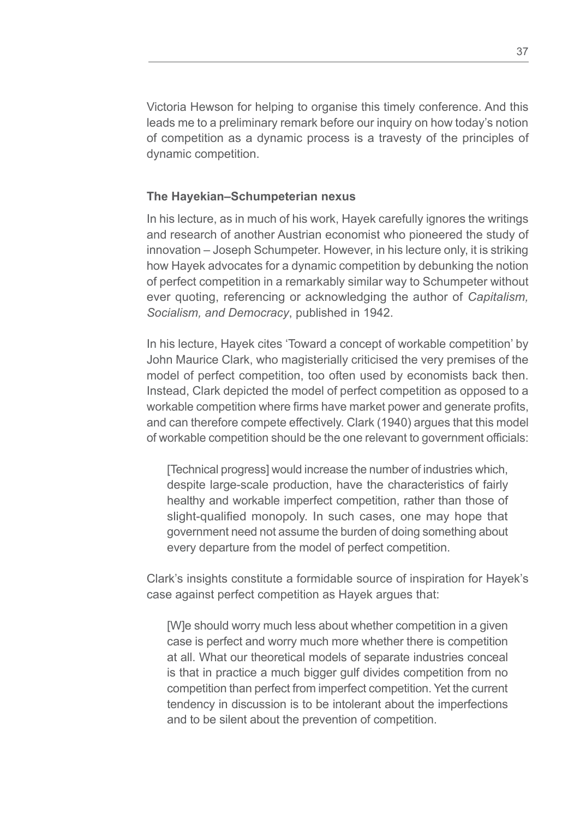Victoria Hewson for helping to organise this timely conference. And this leads me to a preliminary remark before our inquiry on how today's notion of competition as a dynamic process is a travesty of the principles of dynamic competition.

#### **The Hayekian***–***Schumpeterian nexus**

In his lecture, as in much of his work, Hayek carefully ignores the writings and research of another Austrian economist who pioneered the study of innovation – Joseph Schumpeter. However, in his lecture only, it is striking how Hayek advocates for a dynamic competition by debunking the notion of perfect competition in a remarkably similar way to Schumpeter without ever quoting, referencing or acknowledging the author of *Capitalism, Socialism, and Democracy*, published in 1942.

In his lecture, Hayek cites 'Toward a concept of workable competition' by John Maurice Clark, who magisterially criticised the very premises of the model of perfect competition, too often used by economists back then. Instead, Clark depicted the model of perfect competition as opposed to a workable competition where firms have market power and generate profits, and can therefore compete effectively. Clark (1940) argues that this model of workable competition should be the one relevant to government officials:

[Technical progress] would increase the number of industries which, despite large-scale production, have the characteristics of fairly healthy and workable imperfect competition, rather than those of slight-qualified monopoly. In such cases, one may hope that government need not assume the burden of doing something about every departure from the model of perfect competition.

Clark's insights constitute a formidable source of inspiration for Hayek's case against perfect competition as Hayek argues that:

[W]e should worry much less about whether competition in a given case is perfect and worry much more whether there is competition at all. What our theoretical models of separate industries conceal is that in practice a much bigger gulf divides competition from no competition than perfect from imperfect competition. Yet the current tendency in discussion is to be intolerant about the imperfections and to be silent about the prevention of competition.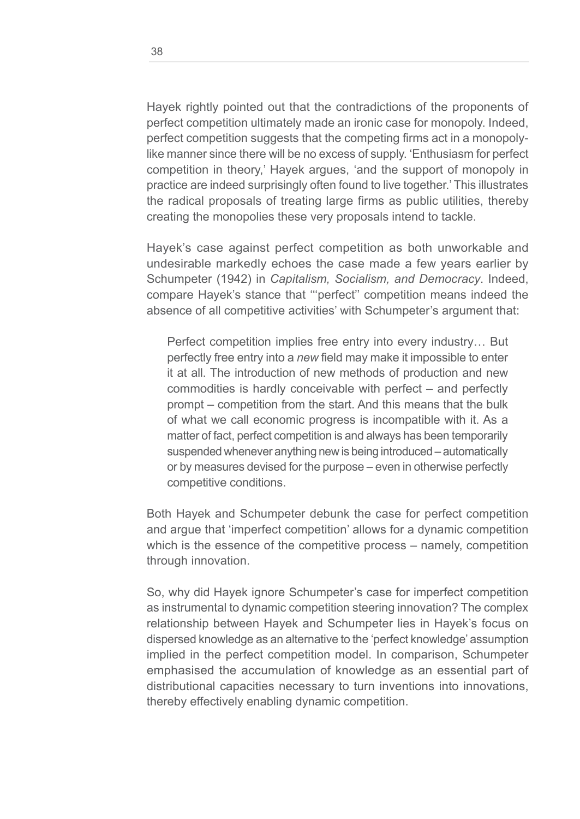Hayek rightly pointed out that the contradictions of the proponents of perfect competition ultimately made an ironic case for monopoly. Indeed, perfect competition suggests that the competing firms act in a monopolylike manner since there will be no excess of supply. 'Enthusiasm for perfect competition in theory,' Hayek argues, 'and the support of monopoly in practice are indeed surprisingly often found to live together.' This illustrates the radical proposals of treating large firms as public utilities, thereby creating the monopolies these very proposals intend to tackle.

Hayek's case against perfect competition as both unworkable and undesirable markedly echoes the case made a few years earlier by Schumpeter (1942) in *Capitalism, Socialism, and Democracy*. Indeed, compare Hayek's stance that '''perfect'' competition means indeed the absence of all competitive activities' with Schumpeter's argument that:

Perfect competition implies free entry into every industry… But perfectly free entry into a *new* field may make it impossible to enter it at all. The introduction of new methods of production and new commodities is hardly conceivable with perfect – and perfectly prompt – competition from the start. And this means that the bulk of what we call economic progress is incompatible with it. As a matter of fact, perfect competition is and always has been temporarily suspended whenever anything new is being introduced – automatically or by measures devised for the purpose – even in otherwise perfectly competitive conditions.

Both Hayek and Schumpeter debunk the case for perfect competition and argue that 'imperfect competition' allows for a dynamic competition which is the essence of the competitive process – namely, competition through innovation.

So, why did Hayek ignore Schumpeter's case for imperfect competition as instrumental to dynamic competition steering innovation? The complex relationship between Hayek and Schumpeter lies in Hayek's focus on dispersed knowledge as an alternative to the 'perfect knowledge' assumption implied in the perfect competition model. In comparison, Schumpeter emphasised the accumulation of knowledge as an essential part of distributional capacities necessary to turn inventions into innovations, thereby effectively enabling dynamic competition.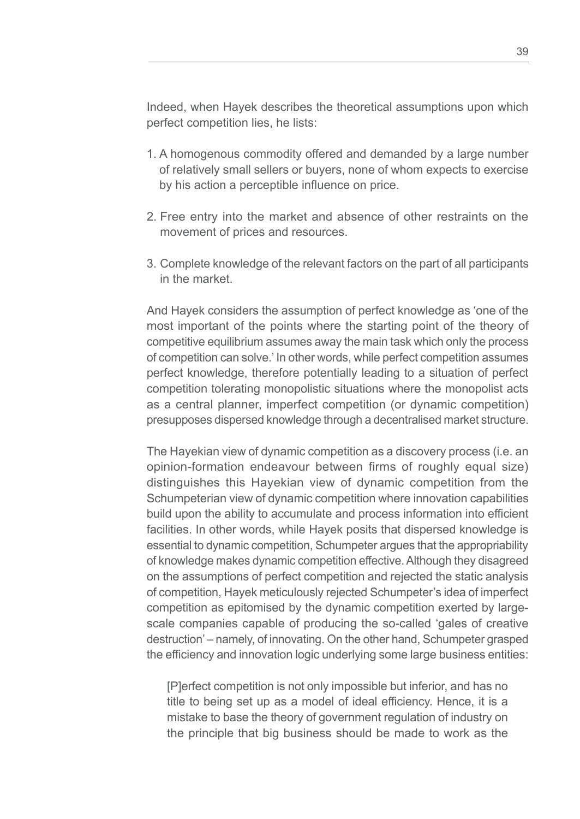Indeed, when Hayek describes the theoretical assumptions upon which perfect competition lies, he lists:

- 1. A homogenous commodity offered and demanded by a large number of relatively small sellers or buyers, none of whom expects to exercise by his action a perceptible influence on price.
- 2. Free entry into the market and absence of other restraints on the movement of prices and resources.
- 3. Complete knowledge of the relevant factors on the part of all participants in the market.

And Hayek considers the assumption of perfect knowledge as 'one of the most important of the points where the starting point of the theory of competitive equilibrium assumes away the main task which only the process of competition can solve.' In other words, while perfect competition assumes perfect knowledge, therefore potentially leading to a situation of perfect competition tolerating monopolistic situations where the monopolist acts as a central planner, imperfect competition (or dynamic competition) presupposes dispersed knowledge through a decentralised market structure.

The Hayekian view of dynamic competition as a discovery process (i.e. an opinion-formation endeavour between firms of roughly equal size) distinguishes this Hayekian view of dynamic competition from the Schumpeterian view of dynamic competition where innovation capabilities build upon the ability to accumulate and process information into efficient facilities. In other words, while Hayek posits that dispersed knowledge is essential to dynamic competition, Schumpeter argues that the appropriability of knowledge makes dynamic competition effective. Although they disagreed on the assumptions of perfect competition and rejected the static analysis of competition, Hayek meticulously rejected Schumpeter's idea of imperfect competition as epitomised by the dynamic competition exerted by largescale companies capable of producing the so-called 'gales of creative destruction' – namely, of innovating. On the other hand, Schumpeter grasped the efficiency and innovation logic underlying some large business entities:

[P]erfect competition is not only impossible but inferior, and has no title to being set up as a model of ideal efficiency. Hence, it is a mistake to base the theory of government regulation of industry on the principle that big business should be made to work as the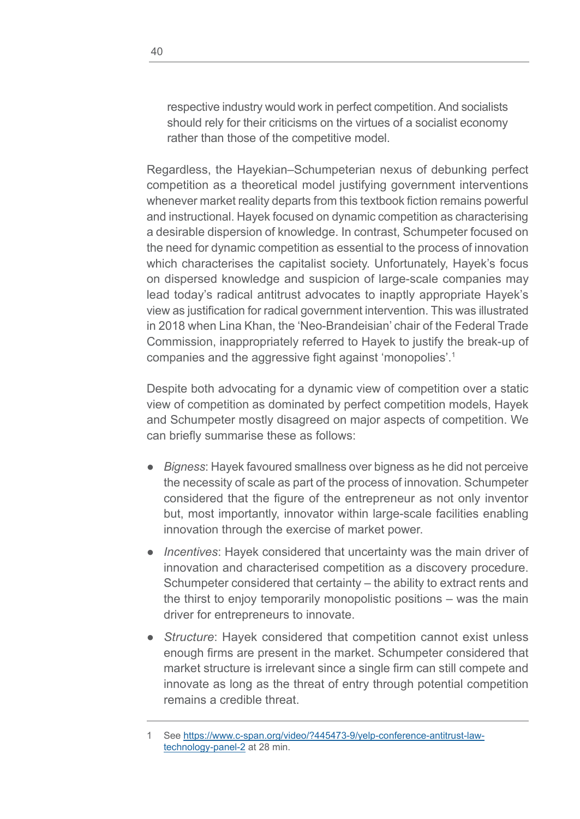respective industry would work in perfect competition. And socialists should rely for their criticisms on the virtues of a socialist economy rather than those of the competitive model.

Regardless, the Hayekian–Schumpeterian nexus of debunking perfect competition as a theoretical model justifying government interventions whenever market reality departs from this textbook fiction remains powerful and instructional. Hayek focused on dynamic competition as characterising a desirable dispersion of knowledge. In contrast, Schumpeter focused on the need for dynamic competition as essential to the process of innovation which characterises the capitalist society. Unfortunately, Hayek's focus on dispersed knowledge and suspicion of large-scale companies may lead today's radical antitrust advocates to inaptly appropriate Hayek's view as justification for radical government intervention. This was illustrated in 2018 when Lina Khan, the 'Neo-Brandeisian' chair of the Federal Trade Commission, inappropriately referred to Hayek to justify the break-up of companies and the aggressive fight against 'monopolies'.1

Despite both advocating for a dynamic view of competition over a static view of competition as dominated by perfect competition models, Hayek and Schumpeter mostly disagreed on major aspects of competition. We can briefly summarise these as follows:

- *Bigness:* Hayek favoured smallness over bigness as he did not perceive the necessity of scale as part of the process of innovation. Schumpeter considered that the figure of the entrepreneur as not only inventor but, most importantly, innovator within large-scale facilities enabling innovation through the exercise of market power.
- *Incentives*: Hayek considered that uncertainty was the main driver of innovation and characterised competition as a discovery procedure. Schumpeter considered that certainty – the ability to extract rents and the thirst to enjoy temporarily monopolistic positions – was the main driver for entrepreneurs to innovate.
- *Structure*: Hayek considered that competition cannot exist unless enough firms are present in the market. Schumpeter considered that market structure is irrelevant since a single firm can still compete and innovate as long as the threat of entry through potential competition remains a credible threat.

See [https://www.c-span.org/video/?445473-9/yelp-conference-antitrust-law](https://www.c-span.org/video/?445473-9/yelp-conference-antitrust-law-technology-panel-2)[technology-panel-2](https://www.c-span.org/video/?445473-9/yelp-conference-antitrust-law-technology-panel-2) at 28 min.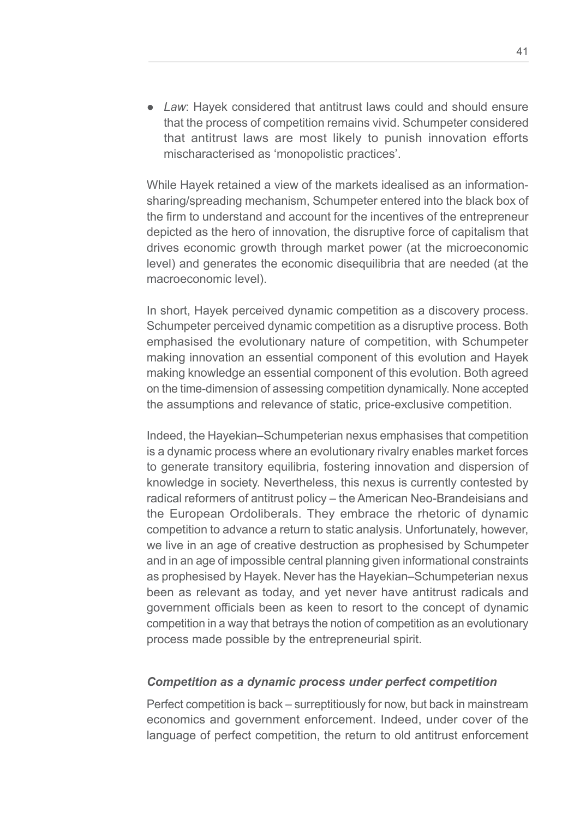● *Law*: Hayek considered that antitrust laws could and should ensure that the process of competition remains vivid. Schumpeter considered that antitrust laws are most likely to punish innovation efforts mischaracterised as 'monopolistic practices'.

While Hayek retained a view of the markets idealised as an informationsharing/spreading mechanism, Schumpeter entered into the black box of the firm to understand and account for the incentives of the entrepreneur depicted as the hero of innovation, the disruptive force of capitalism that drives economic growth through market power (at the microeconomic level) and generates the economic disequilibria that are needed (at the macroeconomic level).

In short, Hayek perceived dynamic competition as a discovery process. Schumpeter perceived dynamic competition as a disruptive process. Both emphasised the evolutionary nature of competition, with Schumpeter making innovation an essential component of this evolution and Hayek making knowledge an essential component of this evolution. Both agreed on the time-dimension of assessing competition dynamically. None accepted the assumptions and relevance of static, price-exclusive competition.

Indeed, the Hayekian–Schumpeterian nexus emphasises that competition is a dynamic process where an evolutionary rivalry enables market forces to generate transitory equilibria, fostering innovation and dispersion of knowledge in society. Nevertheless, this nexus is currently contested by radical reformers of antitrust policy – the American Neo-Brandeisians and the European Ordoliberals. They embrace the rhetoric of dynamic competition to advance a return to static analysis. Unfortunately, however, we live in an age of creative destruction as prophesised by Schumpeter and in an age of impossible central planning given informational constraints as prophesised by Hayek. Never has the Hayekian–Schumpeterian nexus been as relevant as today, and yet never have antitrust radicals and government officials been as keen to resort to the concept of dynamic competition in a way that betrays the notion of competition as an evolutionary process made possible by the entrepreneurial spirit.

### *Competition as a dynamic process under perfect competition*

Perfect competition is back – surreptitiously for now, but back in mainstream economics and government enforcement. Indeed, under cover of the language of perfect competition, the return to old antitrust enforcement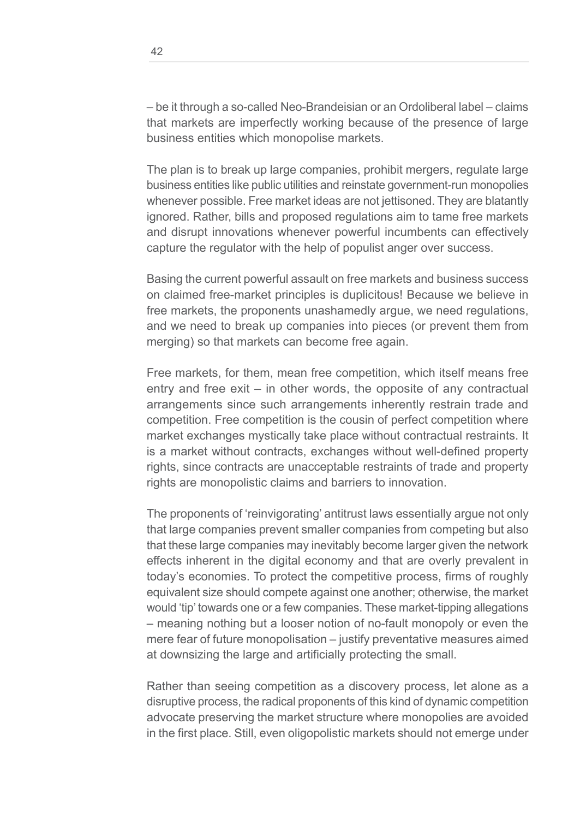– be it through a so-called Neo-Brandeisian or an Ordoliberal label – claims that markets are imperfectly working because of the presence of large business entities which monopolise markets.

The plan is to break up large companies, prohibit mergers, regulate large business entities like public utilities and reinstate government-run monopolies whenever possible. Free market ideas are not jettisoned. They are blatantly ignored. Rather, bills and proposed regulations aim to tame free markets and disrupt innovations whenever powerful incumbents can effectively capture the regulator with the help of populist anger over success.

Basing the current powerful assault on free markets and business success on claimed free-market principles is duplicitous! Because we believe in free markets, the proponents unashamedly argue, we need regulations, and we need to break up companies into pieces (or prevent them from merging) so that markets can become free again.

Free markets, for them, mean free competition, which itself means free entry and free exit – in other words, the opposite of any contractual arrangements since such arrangements inherently restrain trade and competition. Free competition is the cousin of perfect competition where market exchanges mystically take place without contractual restraints. It is a market without contracts, exchanges without well-defined property rights, since contracts are unacceptable restraints of trade and property rights are monopolistic claims and barriers to innovation.

The proponents of 'reinvigorating' antitrust laws essentially argue not only that large companies prevent smaller companies from competing but also that these large companies may inevitably become larger given the network effects inherent in the digital economy and that are overly prevalent in today's economies. To protect the competitive process, firms of roughly equivalent size should compete against one another; otherwise, the market would 'tip' towards one or a few companies. These market-tipping allegations – meaning nothing but a looser notion of no-fault monopoly or even the mere fear of future monopolisation – justify preventative measures aimed at downsizing the large and artificially protecting the small.

Rather than seeing competition as a discovery process, let alone as a disruptive process, the radical proponents of this kind of dynamic competition advocate preserving the market structure where monopolies are avoided in the first place. Still, even oligopolistic markets should not emerge under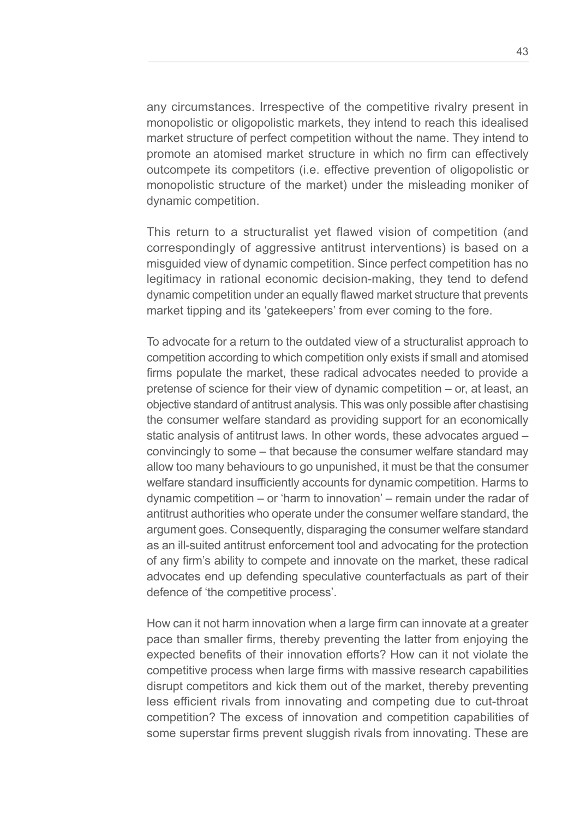any circumstances. Irrespective of the competitive rivalry present in monopolistic or oligopolistic markets, they intend to reach this idealised market structure of perfect competition without the name. They intend to promote an atomised market structure in which no firm can effectively outcompete its competitors (i.e. effective prevention of oligopolistic or monopolistic structure of the market) under the misleading moniker of dynamic competition.

This return to a structuralist yet flawed vision of competition (and correspondingly of aggressive antitrust interventions) is based on a misguided view of dynamic competition. Since perfect competition has no legitimacy in rational economic decision-making, they tend to defend dynamic competition under an equally flawed market structure that prevents market tipping and its 'gatekeepers' from ever coming to the fore.

To advocate for a return to the outdated view of a structuralist approach to competition according to which competition only exists if small and atomised firms populate the market, these radical advocates needed to provide a pretense of science for their view of dynamic competition – or, at least, an objective standard of antitrust analysis. This was only possible after chastising the consumer welfare standard as providing support for an economically static analysis of antitrust laws. In other words, these advocates argued – convincingly to some – that because the consumer welfare standard may allow too many behaviours to go unpunished, it must be that the consumer welfare standard insufficiently accounts for dynamic competition. Harms to dynamic competition – or 'harm to innovation' – remain under the radar of antitrust authorities who operate under the consumer welfare standard, the argument goes. Consequently, disparaging the consumer welfare standard as an ill-suited antitrust enforcement tool and advocating for the protection of any firm's ability to compete and innovate on the market, these radical advocates end up defending speculative counterfactuals as part of their defence of 'the competitive process'.

How can it not harm innovation when a large firm can innovate at a greater pace than smaller firms, thereby preventing the latter from enjoying the expected benefits of their innovation efforts? How can it not violate the competitive process when large firms with massive research capabilities disrupt competitors and kick them out of the market, thereby preventing less efficient rivals from innovating and competing due to cut-throat competition? The excess of innovation and competition capabilities of some superstar firms prevent sluggish rivals from innovating. These are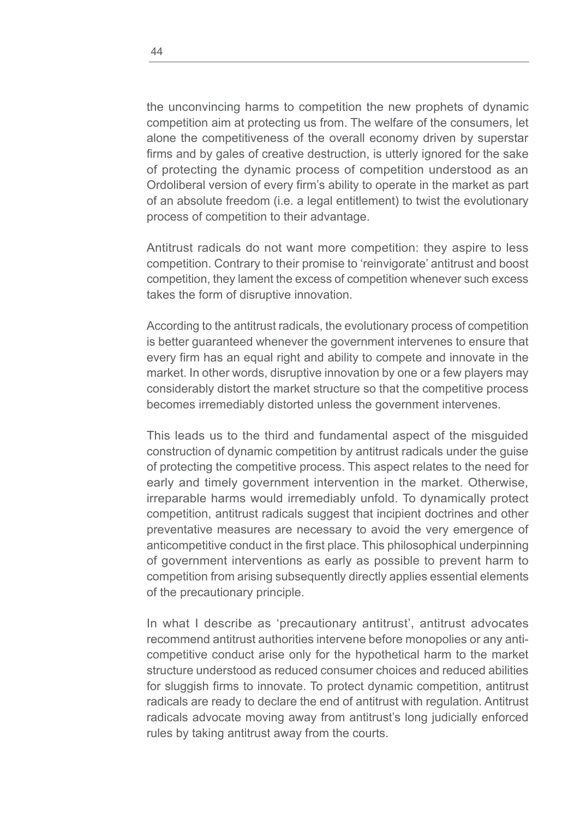the unconvincing harms to competition the new prophets of dynamic competition aim at protecting us from. The welfare of the consumers, let alone the competitiveness of the overall economy driven by superstar firms and by gales of creative destruction, is utterly ignored for the sake of protecting the dynamic process of competition understood as an Ordoliberal version of every firm's ability to operate in the market as part of an absolute freedom (i.e. a legal entitlement) to twist the evolutionary process of competition to their advantage.

Antitrust radicals do not want more competition: they aspire to less competition. Contrary to their promise to 'reinvigorate' antitrust and boost competition, they lament the excess of competition whenever such excess takes the form of disruptive innovation.

According to the antitrust radicals, the evolutionary process of competition is better guaranteed whenever the government intervenes to ensure that every firm has an equal right and ability to compete and innovate in the market. In other words, disruptive innovation by one or a few players may considerably distort the market structure so that the competitive process becomes irremediably distorted unless the government intervenes.

This leads us to the third and fundamental aspect of the misguided construction of dynamic competition by antitrust radicals under the guise of protecting the competitive process. This aspect relates to the need for early and timely government intervention in the market. Otherwise, irreparable harms would irremediably unfold. To dynamically protect competition, antitrust radicals suggest that incipient doctrines and other preventative measures are necessary to avoid the very emergence of anticompetitive conduct in the first place. This philosophical underpinning of government interventions as early as possible to prevent harm to competition from arising subsequently directly applies essential elements of the precautionary principle.

In what I describe as 'precautionary antitrust', antitrust advocates recommend antitrust authorities intervene before monopolies or any anticompetitive conduct arise only for the hypothetical harm to the market structure understood as reduced consumer choices and reduced abilities for sluggish firms to innovate. To protect dynamic competition, antitrust radicals are ready to declare the end of antitrust with regulation. Antitrust radicals advocate moving away from antitrust's long judicially enforced rules by taking antitrust away from the courts.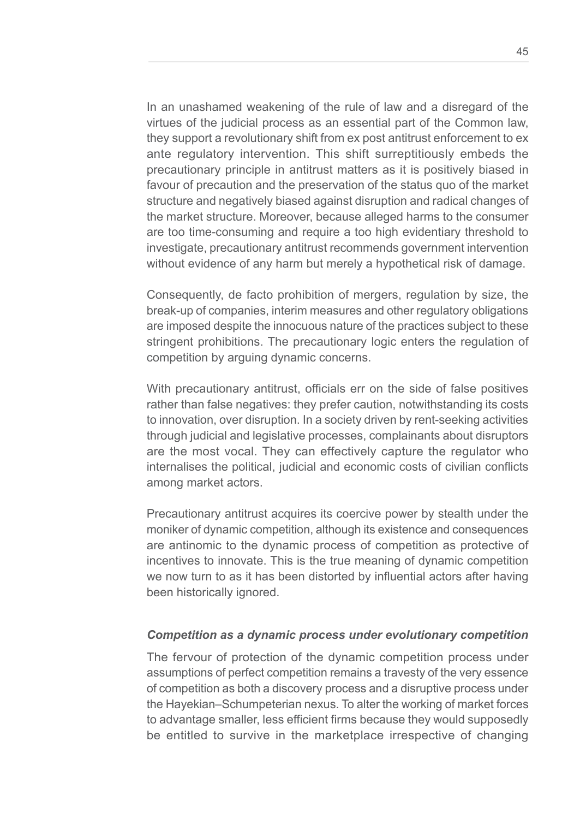In an unashamed weakening of the rule of law and a disregard of the virtues of the judicial process as an essential part of the Common law, they support a revolutionary shift from ex post antitrust enforcement to ex ante regulatory intervention. This shift surreptitiously embeds the precautionary principle in antitrust matters as it is positively biased in favour of precaution and the preservation of the status quo of the market structure and negatively biased against disruption and radical changes of the market structure. Moreover, because alleged harms to the consumer are too time-consuming and require a too high evidentiary threshold to investigate, precautionary antitrust recommends government intervention without evidence of any harm but merely a hypothetical risk of damage.

Consequently, de facto prohibition of mergers, regulation by size, the break-up of companies, interim measures and other regulatory obligations are imposed despite the innocuous nature of the practices subject to these stringent prohibitions. The precautionary logic enters the regulation of competition by arguing dynamic concerns.

With precautionary antitrust, officials err on the side of false positives rather than false negatives: they prefer caution, notwithstanding its costs to innovation, over disruption. In a society driven by rent-seeking activities through judicial and legislative processes, complainants about disruptors are the most vocal. They can effectively capture the regulator who internalises the political, judicial and economic costs of civilian conflicts among market actors.

Precautionary antitrust acquires its coercive power by stealth under the moniker of dynamic competition, although its existence and consequences are antinomic to the dynamic process of competition as protective of incentives to innovate. This is the true meaning of dynamic competition we now turn to as it has been distorted by influential actors after having been historically ignored.

### *Competition as a dynamic process under evolutionary competition*

The fervour of protection of the dynamic competition process under assumptions of perfect competition remains a travesty of the very essence of competition as both a discovery process and a disruptive process under the Hayekian–Schumpeterian nexus. To alter the working of market forces to advantage smaller, less efficient firms because they would supposedly be entitled to survive in the marketplace irrespective of changing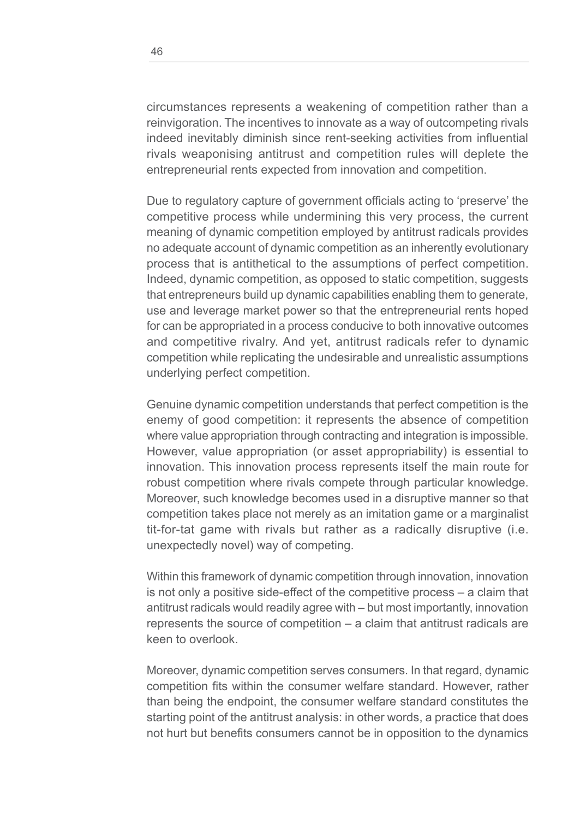circumstances represents a weakening of competition rather than a reinvigoration. The incentives to innovate as a way of outcompeting rivals indeed inevitably diminish since rent-seeking activities from influential rivals weaponising antitrust and competition rules will deplete the entrepreneurial rents expected from innovation and competition.

Due to regulatory capture of government officials acting to 'preserve' the competitive process while undermining this very process, the current meaning of dynamic competition employed by antitrust radicals provides no adequate account of dynamic competition as an inherently evolutionary process that is antithetical to the assumptions of perfect competition. Indeed, dynamic competition, as opposed to static competition, suggests that entrepreneurs build up dynamic capabilities enabling them to generate, use and leverage market power so that the entrepreneurial rents hoped for can be appropriated in a process conducive to both innovative outcomes and competitive rivalry. And yet, antitrust radicals refer to dynamic competition while replicating the undesirable and unrealistic assumptions underlying perfect competition.

Genuine dynamic competition understands that perfect competition is the enemy of good competition: it represents the absence of competition where value appropriation through contracting and integration is impossible. However, value appropriation (or asset appropriability) is essential to innovation. This innovation process represents itself the main route for robust competition where rivals compete through particular knowledge. Moreover, such knowledge becomes used in a disruptive manner so that competition takes place not merely as an imitation game or a marginalist tit-for-tat game with rivals but rather as a radically disruptive (i.e. unexpectedly novel) way of competing.

Within this framework of dynamic competition through innovation, innovation is not only a positive side-effect of the competitive process – a claim that antitrust radicals would readily agree with – but most importantly, innovation represents the source of competition – a claim that antitrust radicals are keen to overlook.

Moreover, dynamic competition serves consumers. In that regard, dynamic competition fits within the consumer welfare standard. However, rather than being the endpoint, the consumer welfare standard constitutes the starting point of the antitrust analysis: in other words, a practice that does not hurt but benefits consumers cannot be in opposition to the dynamics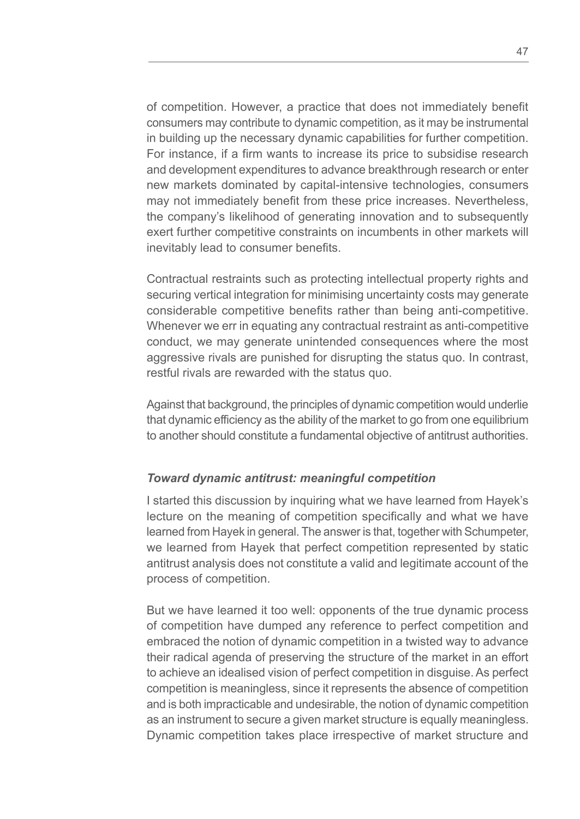of competition. However, a practice that does not immediately benefit consumers may contribute to dynamic competition, as it may be instrumental in building up the necessary dynamic capabilities for further competition. For instance, if a firm wants to increase its price to subsidise research and development expenditures to advance breakthrough research or enter new markets dominated by capital-intensive technologies, consumers may not immediately benefit from these price increases. Nevertheless, the company's likelihood of generating innovation and to subsequently exert further competitive constraints on incumbents in other markets will inevitably lead to consumer benefits.

Contractual restraints such as protecting intellectual property rights and securing vertical integration for minimising uncertainty costs may generate considerable competitive benefits rather than being anti-competitive. Whenever we err in equating any contractual restraint as anti-competitive conduct, we may generate unintended consequences where the most aggressive rivals are punished for disrupting the status quo. In contrast, restful rivals are rewarded with the status quo.

Against that background, the principles of dynamic competition would underlie that dynamic efficiency as the ability of the market to go from one equilibrium to another should constitute a fundamental objective of antitrust authorities.

## *Toward dynamic antitrust: meaningful competition*

I started this discussion by inquiring what we have learned from Hayek's lecture on the meaning of competition specifically and what we have learned from Hayek in general. The answer is that, together with Schumpeter, we learned from Hayek that perfect competition represented by static antitrust analysis does not constitute a valid and legitimate account of the process of competition.

But we have learned it too well: opponents of the true dynamic process of competition have dumped any reference to perfect competition and embraced the notion of dynamic competition in a twisted way to advance their radical agenda of preserving the structure of the market in an effort to achieve an idealised vision of perfect competition in disguise. As perfect competition is meaningless, since it represents the absence of competition and is both impracticable and undesirable, the notion of dynamic competition as an instrument to secure a given market structure is equally meaningless. Dynamic competition takes place irrespective of market structure and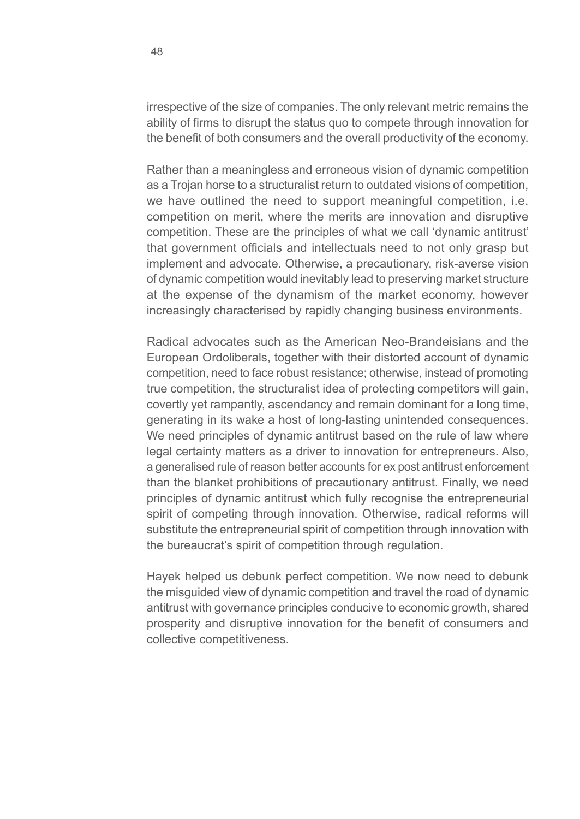irrespective of the size of companies. The only relevant metric remains the ability of firms to disrupt the status quo to compete through innovation for the benefit of both consumers and the overall productivity of the economy.

Rather than a meaningless and erroneous vision of dynamic competition as a Trojan horse to a structuralist return to outdated visions of competition, we have outlined the need to support meaningful competition, i.e. competition on merit, where the merits are innovation and disruptive competition. These are the principles of what we call 'dynamic antitrust' that government officials and intellectuals need to not only grasp but implement and advocate. Otherwise, a precautionary, risk-averse vision of dynamic competition would inevitably lead to preserving market structure at the expense of the dynamism of the market economy, however increasingly characterised by rapidly changing business environments.

Radical advocates such as the American Neo-Brandeisians and the European Ordoliberals, together with their distorted account of dynamic competition, need to face robust resistance; otherwise, instead of promoting true competition, the structuralist idea of protecting competitors will gain, covertly yet rampantly, ascendancy and remain dominant for a long time, generating in its wake a host of long-lasting unintended consequences. We need principles of dynamic antitrust based on the rule of law where legal certainty matters as a driver to innovation for entrepreneurs. Also, a generalised rule of reason better accounts for ex post antitrust enforcement than the blanket prohibitions of precautionary antitrust. Finally, we need principles of dynamic antitrust which fully recognise the entrepreneurial spirit of competing through innovation. Otherwise, radical reforms will substitute the entrepreneurial spirit of competition through innovation with the bureaucrat's spirit of competition through regulation.

Hayek helped us debunk perfect competition. We now need to debunk the misguided view of dynamic competition and travel the road of dynamic antitrust with governance principles conducive to economic growth, shared prosperity and disruptive innovation for the benefit of consumers and collective competitiveness.